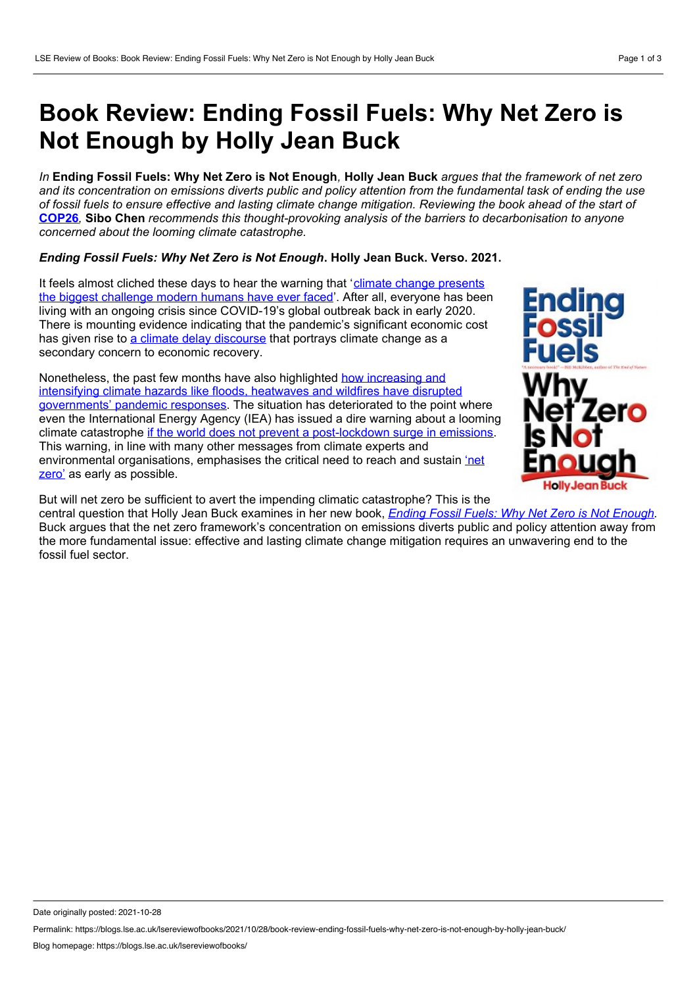## **Book Review: Ending Fossil Fuels: Why Net Zero is Not Enough by Holly Jean Buck**

In Ending Fossil Fuels: Why Net Zero is Not Enough, Holly Jean Buck arques that the framework of net zero and its concentration on emissions diverts public and policy attention from the fundamental task of ending the use of fossil fuels to ensure effective and lasting climate change mitigation. Reviewing the book ahead of the start of **[COP26](https://ukcop26.org/)***,* **Sibo Chen** *recommends this thought-provoking analysis of the barriers to decarbonisation to anyone concerned about the looming climate catastrophe.*

## *Ending Fossil Fuels: Why Net Zero is Not Enough***. Holly Jean Buck. Verso. 2021.**

It feels almost cliched these days to hear the warning that 'climate change presents the biggest [challenge](https://www.un.org/press/en/2021/sc14445.doc.htm) modern humans have ever faced'. After all, everyone has been living with an ongoing crisis since COVID-19's global outbreak back in early 2020. There is mounting evidence indicating that the pandemic's significant economic cost has given rise to a climate delay [discourse](https://doi.org/10.1016/j.jenvp.2020.101464) that portrays climate change as a secondary concern to economic recovery.

Nonetheless, the past few months have also highlighted how increasing and intensifying climate hazards like floods, heatwaves and wildfires have disrupted [governments'](https://doi.org/10.1038/s41558-020-0804-2) pandemic responses. The situation has deteriorated to the point where Nonetheless, the past few months have also highlighted how increasing and<br>intensifying climate hazards like floods, heatwaves and wildfires have disrupted<br>governments' pandemic responses. The situation has deteriorated to climate catastrophe if the world does not prevent a [post-lockdown](http://theguardian.com/environment/2020/jun/18/world-has-six-months-to-avert-climate-crisis-says-energy-expert) surge in emissions. This warning, in line with many other messages from climate experts and [environmental](https://www.lse.ac.uk/granthaminstitute/news/what-is-net-zero/) organisations, emphasises the critical need to reach and sustain 'net zero' as early as possible.



But will net zero be sufficient to avert the impending climatic catastrophe? This is the central question that Holly Jean Buck examines in her new book, *Ending Fossil Fuels: Why Net Zero is Not [Enough](https://www.versobooks.com/books/3879-ending-fossil-fuels).* Buck argues that the net zero framework's concentration on emissions diverts public and policy attention away from the more fundamental issue: effective and lasting climate change mitigation requires an unwavering end to the fossil fuel sector.

Permalink: https://blogs.lse.ac.uk/lsereviewofbooks/2021/10/28/book-review-ending-fossil-fuels-why-net-zero-is-not-enough-by-holly-jean-buck/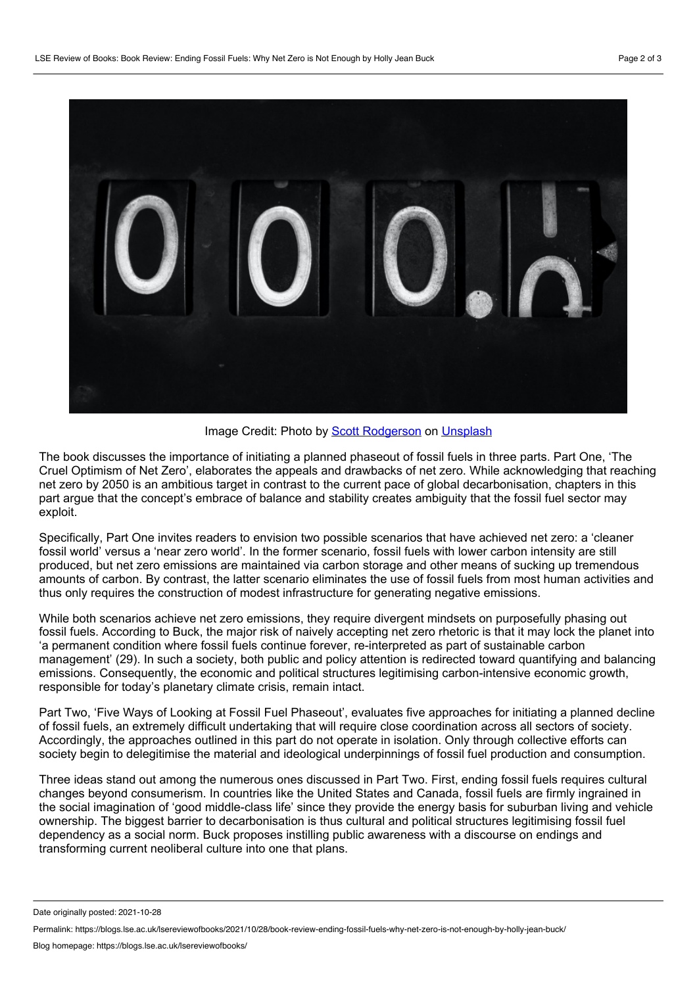

Image Credit: Photo by Scott [Rodgerson](https://unsplash.com/@scottrodgerson?utm_source=unsplash&utm_medium=referral&utm_content=creditCopyText) on [Unsplash](https://unsplash.com/?utm_source=unsplash&utm_medium=referral&utm_content=creditCopyText)

The book discusses the importance of initiating a planned phaseout of fossil fuels in three parts. Part One, 'The Cruel Optimism of Net Zero', elaborates the appeals and drawbacks of net zero. While acknowledging that reaching net zero by 2050 is an ambitious target in contrast to the current pace of global decarbonisation, chapters in this part argue that the concept's embrace of balance and stability creates ambiguity that the fossil fuel sector may exploit.

Specifically, Part One invites readers to envision two possible scenarios that have achieved net zero: a 'cleaner fossil world' versus a 'near zero world'. In the former scenario, fossil fuels with lower carbon intensity are still produced, but net zero emissions are maintained via carbon storage and other means of sucking up tremendous amounts of carbon. By contrast, the latter scenario eliminates the use of fossil fuels from most human activities and thus only requires the construction of modest infrastructure for generating negative emissions.

While both scenarios achieve net zero emissions, they require divergent mindsets on purposefully phasing out fossil fuels. According to Buck, the major risk of naively accepting net zero rhetoric is that it may lock the planet into 'a permanent condition where fossil fuels continue forever, re-interpreted as part of sustainable carbon management' (29). In such a society, both public and policy attention is redirected toward quantifying and balancing emissions. Consequently, the economic and political structures legitimising carbon-intensive economic growth, responsible for today's planetary climate crisis, remain intact.

Part Two, 'Five Ways of Looking at Fossil Fuel Phaseout', evaluates five approaches for initiating a planned decline of fossil fuels, an extremely difficult undertaking that will require close coordination across all sectors of society. Accordingly, the approaches outlined in this part do not operate in isolation. Only through collective efforts can society begin to delegitimise the material and ideological underpinnings of fossil fuel production and consumption.

Three ideas stand out among the numerous ones discussed in Part Two. First, ending fossil fuels requires cultural changes beyond consumerism. In countries like the United States and Canada, fossil fuels are firmly ingrained in the social imagination of 'good middle-class life' since they provide the energy basis for suburban living and vehicle ownership. The biggest barrier to decarbonisation is thus cultural and political structures legitimising fossil fuel dependency as a social norm. Buck proposes instilling public awareness with a discourse on endings and transforming current neoliberal culture into one that plans.

Date originally posted: 2021-10-28

Permalink: https://blogs.lse.ac.uk/lsereviewofbooks/2021/10/28/book-review-ending-fossil-fuels-why-net-zero-is-not-enough-by-holly-jean-buck/